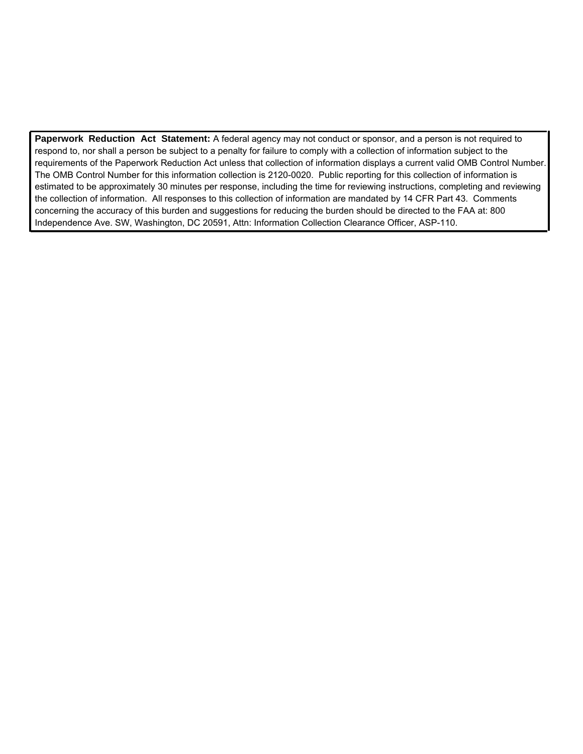**Paperwork Reduction Act Statement:** A federal agency may not conduct or sponsor, and a person is not required to respond to, nor shall a person be subject to a penalty for failure to comply with a collection of information subject to the requirements of the Paperwork Reduction Act unless that collection of information displays a current valid OMB Control Number. The OMB Control Number for this information collection is 2120-0020. Public reporting for this collection of information is estimated to be approximately 30 minutes per response, including the time for reviewing instructions, completing and reviewing the collection of information. All responses to this collection of information are mandated by 14 CFR Part 43. Comments concerning the accuracy of this burden and suggestions for reducing the burden should be directed to the FAA at: 800 Independence Ave. SW, Washington, DC 20591, Attn: Information Collection Clearance Officer, ASP-110.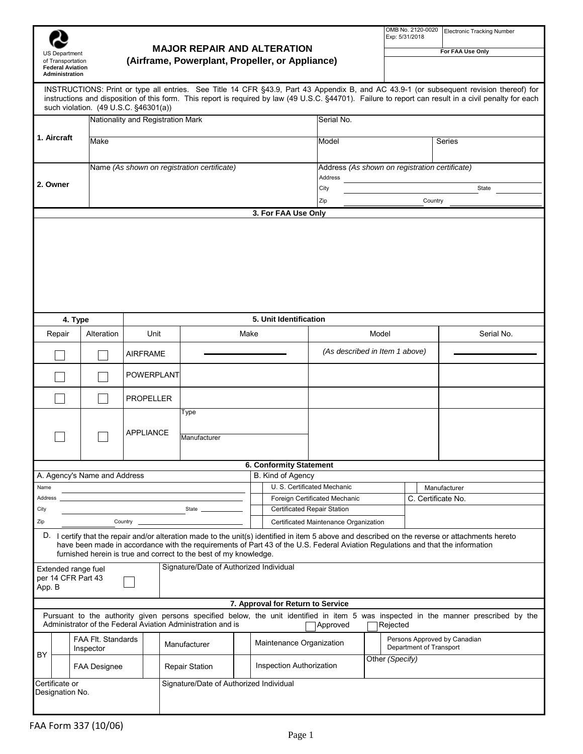|                                                                            |                                        |                                             |                                                                                                                                                                                                      |                                    |                                 |                                                              |                                |                 | Exp: 5/31/2018                                 | OMB No. 2120-0020       | <b>Electronic Tracking Number</b>                                                                                                                                                                                                                                                                 |  |
|----------------------------------------------------------------------------|----------------------------------------|---------------------------------------------|------------------------------------------------------------------------------------------------------------------------------------------------------------------------------------------------------|------------------------------------|---------------------------------|--------------------------------------------------------------|--------------------------------|-----------------|------------------------------------------------|-------------------------|---------------------------------------------------------------------------------------------------------------------------------------------------------------------------------------------------------------------------------------------------------------------------------------------------|--|
| <b>US Department</b>                                                       |                                        |                                             |                                                                                                                                                                                                      | <b>MAJOR REPAIR AND ALTERATION</b> |                                 |                                                              |                                |                 | For FAA Use Only                               |                         |                                                                                                                                                                                                                                                                                                   |  |
| of Transportation<br><b>Federal Aviation</b><br>Administration             |                                        |                                             | (Airframe, Powerplant, Propeller, or Appliance)                                                                                                                                                      |                                    |                                 |                                                              |                                |                 |                                                |                         |                                                                                                                                                                                                                                                                                                   |  |
|                                                                            |                                        |                                             |                                                                                                                                                                                                      |                                    |                                 |                                                              |                                |                 |                                                |                         | INSTRUCTIONS: Print or type all entries. See Title 14 CFR §43.9, Part 43 Appendix B, and AC 43.9-1 (or subsequent revision thereof) for<br>instructions and disposition of this form. This report is required by law (49 U.S.C. §44701). Failure to report can result in a civil penalty for each |  |
| such violation. (49 U.S.C. §46301(a))<br>Nationality and Registration Mark |                                        |                                             |                                                                                                                                                                                                      |                                    |                                 | Serial No.                                                   |                                |                 |                                                |                         |                                                                                                                                                                                                                                                                                                   |  |
| 1. Aircraft                                                                | Make                                   |                                             |                                                                                                                                                                                                      |                                    |                                 |                                                              | Model                          |                 |                                                |                         | Series                                                                                                                                                                                                                                                                                            |  |
|                                                                            |                                        |                                             |                                                                                                                                                                                                      |                                    |                                 |                                                              |                                |                 |                                                |                         |                                                                                                                                                                                                                                                                                                   |  |
|                                                                            |                                        | Name (As shown on registration certificate) |                                                                                                                                                                                                      |                                    |                                 | Address                                                      |                                |                 | Address (As shown on registration certificate) |                         |                                                                                                                                                                                                                                                                                                   |  |
| 2. Owner                                                                   |                                        |                                             |                                                                                                                                                                                                      |                                    |                                 |                                                              | City                           |                 |                                                |                         | State                                                                                                                                                                                                                                                                                             |  |
|                                                                            |                                        |                                             |                                                                                                                                                                                                      |                                    |                                 | Zip                                                          |                                |                 | Country                                        |                         |                                                                                                                                                                                                                                                                                                   |  |
| 3. For FAA Use Only                                                        |                                        |                                             |                                                                                                                                                                                                      |                                    |                                 |                                                              |                                |                 |                                                |                         |                                                                                                                                                                                                                                                                                                   |  |
|                                                                            |                                        |                                             |                                                                                                                                                                                                      |                                    |                                 |                                                              |                                |                 |                                                |                         |                                                                                                                                                                                                                                                                                                   |  |
|                                                                            | 4. Type                                |                                             |                                                                                                                                                                                                      |                                    |                                 | 5. Unit Identification                                       |                                |                 |                                                |                         |                                                                                                                                                                                                                                                                                                   |  |
| Repair                                                                     | Alteration                             | Unit                                        |                                                                                                                                                                                                      |                                    | Make                            |                                                              |                                | Model           |                                                |                         | Serial No.                                                                                                                                                                                                                                                                                        |  |
|                                                                            |                                        | AIRFRAME                                    |                                                                                                                                                                                                      |                                    |                                 |                                                              | (As described in Item 1 above) |                 |                                                |                         |                                                                                                                                                                                                                                                                                                   |  |
|                                                                            |                                        | POWERPLANT                                  |                                                                                                                                                                                                      |                                    |                                 |                                                              |                                |                 |                                                |                         |                                                                                                                                                                                                                                                                                                   |  |
|                                                                            |                                        | <b>PROPELLER</b>                            |                                                                                                                                                                                                      |                                    |                                 |                                                              |                                |                 |                                                |                         |                                                                                                                                                                                                                                                                                                   |  |
|                                                                            |                                        |                                             | Type                                                                                                                                                                                                 |                                    |                                 |                                                              |                                |                 |                                                |                         |                                                                                                                                                                                                                                                                                                   |  |
|                                                                            | <b>APPLIANCE</b><br>Manufacturer       |                                             |                                                                                                                                                                                                      |                                    |                                 |                                                              |                                |                 |                                                |                         |                                                                                                                                                                                                                                                                                                   |  |
|                                                                            |                                        |                                             |                                                                                                                                                                                                      |                                    |                                 | 6. Conformity Statement                                      |                                |                 |                                                |                         |                                                                                                                                                                                                                                                                                                   |  |
|                                                                            | A. Agency's Name and Address           |                                             |                                                                                                                                                                                                      |                                    |                                 | B. Kind of Agency                                            |                                |                 |                                                |                         |                                                                                                                                                                                                                                                                                                   |  |
| Name                                                                       |                                        |                                             |                                                                                                                                                                                                      |                                    |                                 | U. S. Certificated Mechanic                                  |                                |                 |                                                | Manufacturer            |                                                                                                                                                                                                                                                                                                   |  |
| Address<br>City                                                            |                                        |                                             | State                                                                                                                                                                                                |                                    |                                 | Foreign Certificated Mechanic<br>Certificated Repair Station |                                |                 |                                                | C. Certificate No.      |                                                                                                                                                                                                                                                                                                   |  |
| Zip                                                                        |                                        | Certificated Maintenance Organization       |                                                                                                                                                                                                      |                                    |                                 |                                                              |                                |                 |                                                |                         |                                                                                                                                                                                                                                                                                                   |  |
|                                                                            |                                        |                                             | have been made in accordance with the requirements of Part 43 of the U.S. Federal Aviation Regulations and that the information<br>furnished herein is true and correct to the best of my knowledge. |                                    |                                 |                                                              |                                |                 |                                                |                         | D. I certify that the repair and/or alteration made to the unit(s) identified in item 5 above and described on the reverse or attachments hereto                                                                                                                                                  |  |
| Extended range fuel<br>per 14 CFR Part 43<br>App. B                        |                                        |                                             | Signature/Date of Authorized Individual                                                                                                                                                              |                                    |                                 |                                                              |                                |                 |                                                |                         |                                                                                                                                                                                                                                                                                                   |  |
|                                                                            |                                        |                                             |                                                                                                                                                                                                      |                                    |                                 | 7. Approval for Return to Service                            |                                |                 |                                                |                         |                                                                                                                                                                                                                                                                                                   |  |
|                                                                            |                                        |                                             | Administrator of the Federal Aviation Administration and is                                                                                                                                          |                                    |                                 |                                                              | Approved                       |                 | Rejected                                       |                         | Pursuant to the authority given persons specified below, the unit identified in item 5 was inspected in the manner prescribed by the                                                                                                                                                              |  |
|                                                                            | <b>FAA FIt. Standards</b><br>Inspector |                                             | Manufacturer                                                                                                                                                                                         |                                    | Maintenance Organization        |                                                              |                                |                 |                                                | Department of Transport | Persons Approved by Canadian                                                                                                                                                                                                                                                                      |  |
| BY                                                                         | <b>FAA Designee</b>                    |                                             | <b>Repair Station</b>                                                                                                                                                                                |                                    | <b>Inspection Authorization</b> |                                                              |                                | Other (Specify) |                                                |                         |                                                                                                                                                                                                                                                                                                   |  |
| Certificate or<br>Designation No.                                          |                                        |                                             | Signature/Date of Authorized Individual                                                                                                                                                              |                                    |                                 |                                                              |                                |                 |                                                |                         |                                                                                                                                                                                                                                                                                                   |  |